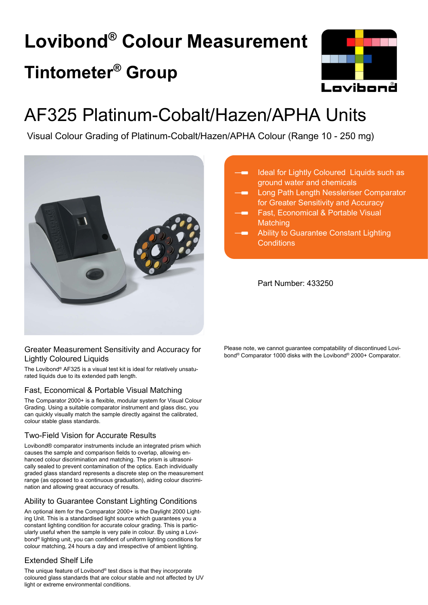# **Lovibond® Colour Measurement Tintometer® Group**



## AF325 Platinum-Cobalt/Hazen/APHA Units

Visual Colour Grading of Platinum-Cobalt/Hazen/APHA Colour (Range 10 - 250 mg)



#### Greater Measurement Sensitivity and Accuracy for Lightly Coloured Liquids

The Lovibond® AF325 is a visual test kit is ideal for relatively unsaturated liquids due to its extended path length.

#### Fast, Economical & Portable Visual Matching

The Comparator 2000+ is a flexible, modular system for Visual Colour Grading. Using a suitable comparator instrument and glass disc, you can quickly visually match the sample directly against the calibrated, colour stable glass standards.

#### Two-Field Vision for Accurate Results

Lovibond® comparator instruments include an integrated prism which causes the sample and comparison fields to overlap, allowing enhanced colour discrimination and matching. The prism is ultrasonically sealed to prevent contamination of the optics. Each individually graded glass standard represents a discrete step on the measurement range (as opposed to a continuous graduation), aiding colour discrimination and allowing great accuracy of results.

#### Ability to Guarantee Constant Lighting Conditions

An optional item for the Comparator 2000+ is the Daylight 2000 Lighting Unit. This is a standardised light source which guarantees you a constant lighting condition for accurate colour grading. This is particularly useful when the sample is very pale in colour. By using a Lovibond® lighting unit, you can confident of uniform lighting conditions for colour matching, 24 hours a day and irrespective of ambient lighting.

#### Extended Shelf Life

The unique feature of Lovibond® test discs is that they incorporate coloured glass standards that are colour stable and not affected by UV light or extreme environmental conditions.

- Ideal for Lightly Coloured Liquids such as ground water and chemicals
- Long Path Length Nessleriser Comparator for Greater Sensitivity and Accuracy
- Fast, Economical & Portable Visual **Matching**
- Ability to Guarantee Constant Lighting **Conditions**

Part Number: 433250

Please note, we cannot guarantee compatability of discontinued Lovibond® Comparator 1000 disks with the Lovibond® 2000+ Comparator.